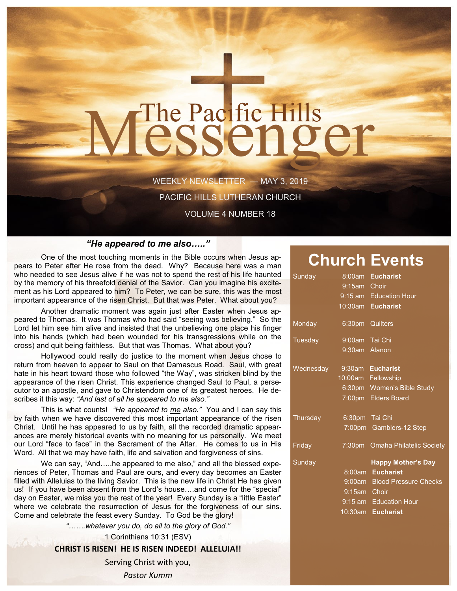# The Pacific Hills<br>CSSCNOCT

WEEKLY NEWSLETTER — MAY 3, 2019

PACIFIC HILLS LUTHERAN CHURCH

VOLUME 4 NUMBER 18

#### *"He appeared to me also….."*

One of the most touching moments in the Bible occurs when Jesus appears to Peter after He rose from the dead. Why? Because here was a man who needed to see Jesus alive if he was not to spend the rest of his life haunted by the memory of his threefold denial of the Savior. Can you imagine his excitement as his Lord appeared to him? To Peter, we can be sure, this was the most important appearance of the risen Christ. But that was Peter. What about you?

Another dramatic moment was again just after Easter when Jesus appeared to Thomas. It was Thomas who had said "seeing was believing." So the Lord let him see him alive and insisted that the unbelieving one place his finger into his hands (which had been wounded for his transgressions while on the cross) and quit being faithless. But that was Thomas. What about you?

Hollywood could really do justice to the moment when Jesus chose to return from heaven to appear to Saul on that Damascus Road. Saul, with great hate in his heart toward those who followed "the Way", was stricken blind by the appearance of the risen Christ. This experience changed Saul to Paul, a persecutor to an apostle, and gave to Christendom one of its greatest heroes. He describes it this way: *"And last of all he appeared to me also."*

This is what counts! *"He appeared to me also."* You and I can say this by faith when we have discovered this most important appearance of the risen Christ. Until he has appeared to us by faith, all the recorded dramatic appearances are merely historical events with no meaning for us personally. We meet our Lord "face to face" in the Sacrament of the Altar. He comes to us in His Word. All that we may have faith, life and salvation and forgiveness of sins.

We can say, "And.....he appeared to me also," and all the blessed experiences of Peter, Thomas and Paul are ours, and every day becomes an Easter filled with Alleluias to the living Savior. This is the new life in Christ He has given us! If you have been absent from the Lord's house….and come for the "special" day on Easter, we miss you the rest of the year! Every Sunday is a "little Easter" where we celebrate the resurrection of Jesus for the forgiveness of our sins. Come and celebrate the feast every Sunday. To God be the glory!

*"…….whatever you do, do all to the glory of God."*

1 Corinthians 10:31 (ESV)

#### **CHRIST IS RISEN! HE IS RISEN INDEED! ALLELUIA!!**

Serving Christ with you, *Pastor Kumm*

### **Church Events**

| Sunday                     |                 | 8:00am Eucharist                |
|----------------------------|-----------------|---------------------------------|
|                            | 9:15am Choir    |                                 |
|                            |                 | 9:15 am Education Hour          |
|                            |                 | 10:30am Eucharist               |
| Monday                     | 6:30pm Quilters |                                 |
| Tuesday                    | 9:00am Tai Chi  |                                 |
|                            | 9:30am Alanon   |                                 |
| Wednesday 9:30am Eucharist |                 |                                 |
|                            |                 | 10:00am Fellowship              |
|                            |                 | 6:30pm Women's Bible Study      |
|                            |                 | 7:00pm Elders Board             |
| Thursday                   | 6:30pm Tai Chi  |                                 |
|                            |                 | 7:00pm Gamblers-12 Step         |
| Fridav                     |                 | 7:30pm Omaha Philatelic Society |
| Sunday                     |                 | <b>Happy Mother's Day</b>       |
|                            |                 | 8:00am Eucharist                |
|                            |                 | 9:00am Blood Pressure Checks    |
|                            | 9:15am Choir    |                                 |
|                            |                 | 9:15 am Education Hour          |
|                            |                 | 10:30am Eucharist               |